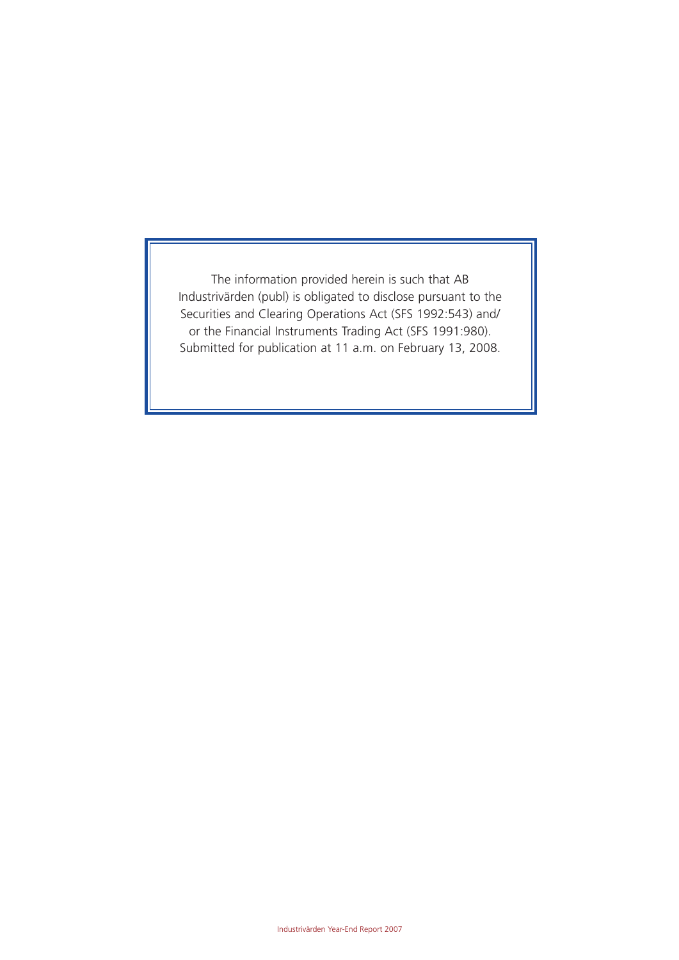The information provided herein is such that AB Industrivärden (publ) is obligated to disclose pursuant to the Securities and Clearing Operations Act (SFS 1992:543) and/ or the Financial Instruments Trading Act (SFS 1991:980). Submitted for publication at 11 a.m. on February 13, 2008.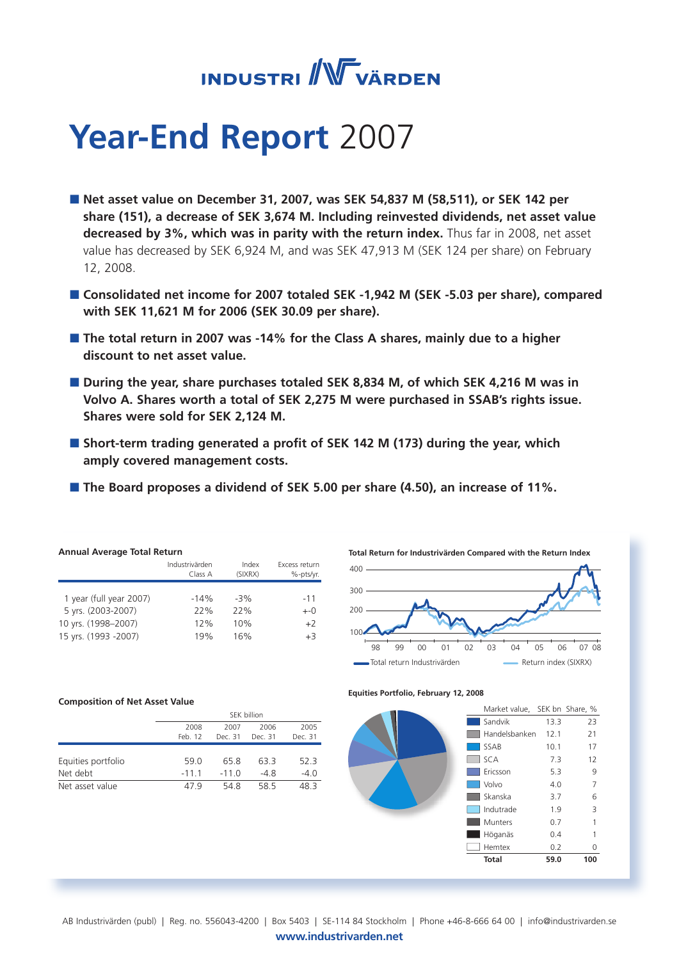

# **Year-End Report** 2007

- **Net asset value on December 31, 2007, was SEK 54,837 M (58,511), or SEK 142 per share (151), a decrease of SEK 3,674 M. Including reinvested dividends, net asset value decreased by 3%, which was in parity with the return index.** Thus far in 2008, net asset value has decreased by SEK 6,924 M, and was SEK 47,913 M (SEK 124 per share) on February 12, 2008.
- **Consolidated net income for 2007 totaled SEK -1,942 M (SEK -5.03 per share), compared with SEK 11,621 M for 2006 (SEK 30.09 per share).**
- **The total return in 2007 was -14% for the Class A shares, mainly due to a higher discount to net asset value.**
- **During the year, share purchases totaled SEK 8,834 M, of which SEK 4,216 M was in Volvo A. Shares worth a total of SEK 2,275 M were purchased in SSAB's rights issue. Shares were sold for SEK 2,124 M.**
- **Short-term trading generated a profit of SEK 142 M (173) during the year, which amply covered management costs.**
- The Board proposes a dividend of SEK 5.00 per share (4.50), an increase of 11%.

| <b>Annual Average Total Return</b> |                  |                            |  |  |  |  |  |
|------------------------------------|------------------|----------------------------|--|--|--|--|--|
| Industrivärden<br>Class A          | Index<br>(SIXRX) | Excess return<br>%-pts/yr. |  |  |  |  |  |
|                                    |                  |                            |  |  |  |  |  |
| $-14%$                             | $-3%$            | $-11$                      |  |  |  |  |  |
| 22%                                | 77%              | $+-0$                      |  |  |  |  |  |
| 12%                                | 10%              | $+2$                       |  |  |  |  |  |
| 19%                                | 16%              | $+3$                       |  |  |  |  |  |
|                                    |                  |                            |  |  |  |  |  |

#### **Composition of Net Asset Value**

|                    | SEK billion |         |         |         |  |  |
|--------------------|-------------|---------|---------|---------|--|--|
|                    | 2008        | 2007    | 2006    | 2005    |  |  |
|                    | Feb. 12     | Dec. 31 | Dec. 31 | Dec. 31 |  |  |
|                    |             |         |         |         |  |  |
| Equities portfolio | 59.0        | 658     | 63.3    | 52.3    |  |  |
| Net debt           | $-11.1$     | $-110$  | $-4.8$  | $-4.0$  |  |  |
| Net asset value    | 479         | 548     | 58.5    | 483     |  |  |



#### **Equities Portfolio, February 12, 2008**



AB Industrivärden (publ) | Reg. no. 556043-4200 | Box 5403 | SE-114 84 Stockholm | Phone +46-8-666 64 00 | info@industrivarden.se

www.industrivarden.net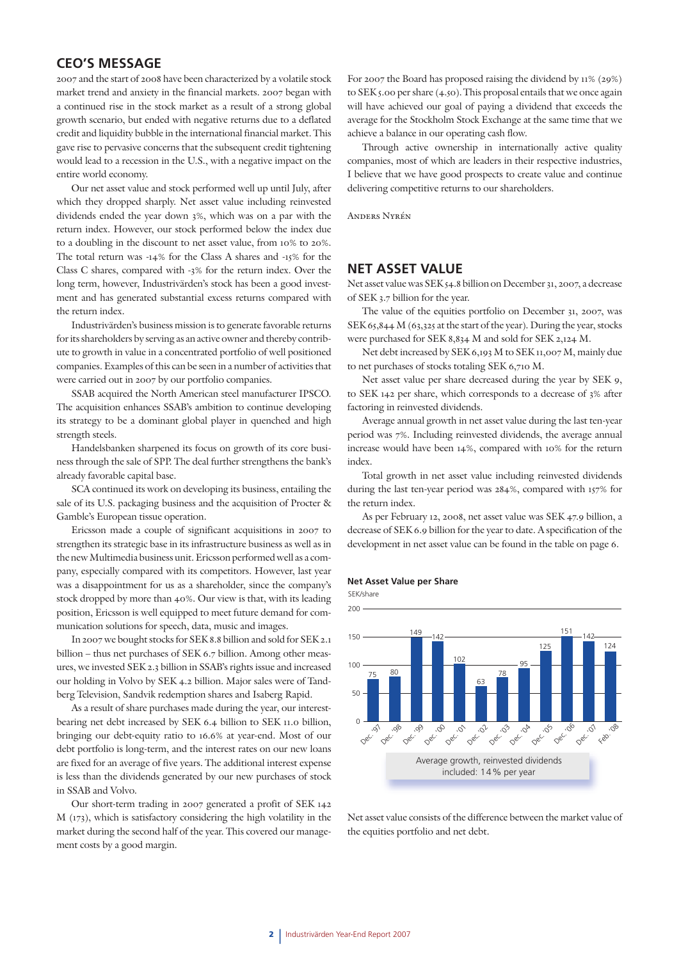## **CEO'S MESSAGE**

2007 and the start of 2008 have been characterized by a volatile stock market trend and anxiety in the financial markets. 2007 began with a continued rise in the stock market as a result of a strong global growth scenario, but ended with negative returns due to a deflated credit and liquidity bubble in the international financial market. This gave rise to pervasive concerns that the subsequent credit tightening would lead to a recession in the U.S., with a negative impact on the entire world economy.

Our net asset value and stock performed well up until July, after which they dropped sharply. Net asset value including reinvested dividends ended the year down 3%, which was on a par with the return index. However, our stock performed below the index due to a doubling in the discount to net asset value, from 10% to 20%. The total return was -14% for the Class A shares and -15% for the Class C shares, compared with -3% for the return index. Over the long term, however, Industrivärden's stock has been a good investment and has generated substantial excess returns compared with the return index.

Industrivärden's business mission is to generate favorable returns for its shareholders by serving as an active owner and thereby contribute to growth in value in a concentrated portfolio of well positioned companies. Examples of this can be seen in a number of activities that were carried out in 2007 by our portfolio companies.

SSAB acquired the North American steel manufacturer IPSCO. The acquisition enhances SSAB's ambition to continue developing its strategy to be a dominant global player in quenched and high strength steels.

Handelsbanken sharpened its focus on growth of its core business through the sale of SPP. The deal further strengthens the bank's already favorable capital base.

SCA continued its work on developing its business, entailing the sale of its U.S. packaging business and the acquisition of Procter & Gamble's European tissue operation.

Ericsson made a couple of significant acquisitions in 2007 to strengthen its strategic base in its infrastructure business as well as in the new Multimedia business unit. Ericsson performed well as a company, especially compared with its competitors. However, last year was a disappointment for us as a shareholder, since the company's stock dropped by more than 40%. Our view is that, with its leading position, Ericsson is well equipped to meet future demand for communication solutions for speech, data, music and images.

In 2007 we bought stocks for SEK 8.8 billion and sold for SEK 2.1 billion – thus net purchases of SEK 6.7 billion. Among other measures, we invested SEK 2.3 billion in SSAB's rights issue and increased our holding in Volvo by SEK 4.2 billion. Major sales were of Tandberg Television, Sandvik redemption shares and Isaberg Rapid.

As a result of share purchases made during the year, our interestbearing net debt increased by SEK 6.4 billion to SEK 11.0 billion, bringing our debt-equity ratio to 16.6% at year-end. Most of our debt portfolio is long-term, and the interest rates on our new loans are fixed for an average of five years. The additional interest expense is less than the dividends generated by our new purchases of stock in SSAB and Volvo.

Our short-term trading in 2007 generated a profit of SEK 142 M (173), which is satisfactory considering the high volatility in the market during the second half of the year. This covered our management costs by a good margin.

For 2007 the Board has proposed raising the dividend by 11% (29%) to SEK 5.00 per share (4.50). This proposal entails that we once again will have achieved our goal of paying a dividend that exceeds the average for the Stockholm Stock Exchange at the same time that we achieve a balance in our operating cash flow.

Through active ownership in internationally active quality companies, most of which are leaders in their respective industries, I believe that we have good prospects to create value and continue delivering competitive returns to our shareholders.

Anders Nyrén

## **NET ASSET VALUE**

Net asset value was SEK 54.8 billion on December 31, 2007, a decrease of SEK 3.7 billion for the year.

The value of the equities portfolio on December 31, 2007, was SEK 65,844 M (63,325 at the start of the year). During the year, stocks were purchased for SEK 8,834 M and sold for SEK 2,124 M.

Net debt increased by SEK 6,193 M to SEK 11,007 M, mainly due to net purchases of stocks totaling SEK 6,710 M.

Net asset value per share decreased during the year by SEK 9, to SEK 142 per share, which corresponds to a decrease of 3% after factoring in reinvested dividends.

Average annual growth in net asset value during the last ten-year period was 7%. Including reinvested dividends, the average annual increase would have been 14%, compared with 10% for the return index.

Total growth in net asset value including reinvested dividends during the last ten-year period was 284%, compared with 157% for the return index.

As per February 12, 2008, net asset value was SEK 47.9 billion, a decrease of SEK 6.9 billion for the year to date. A specification of the development in net asset value can be found in the table on page 6.

#### **Net Asset Value per Share**



Net asset value consists of the difference between the market value of the equities portfolio and net debt.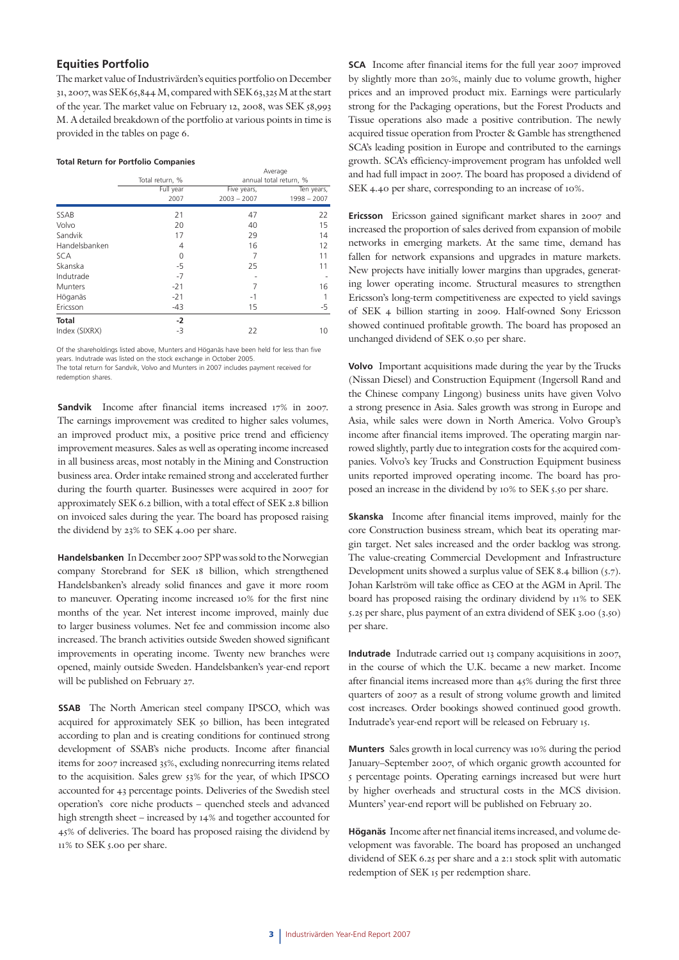#### **Equities Portfolio**

The market value of Industrivärden's equities portfolio on December 31, 2007, was SEK 65,844 M, compared with SEK 63,325 M at the start of the year. The market value on February 12, 2008, was SEK 58,993 M. A detailed breakdown of the portfolio at various points in time is provided in the tables on page 6.

#### **Total Return for Portfolio Companies**

|               |                   | Average                      |                             |  |  |
|---------------|-------------------|------------------------------|-----------------------------|--|--|
|               | Total return, %   |                              | annual total return, %      |  |  |
|               | Full year<br>2007 | Five years,<br>$2003 - 2007$ | Ten years,<br>$1998 - 2007$ |  |  |
|               |                   |                              |                             |  |  |
| SSAB          | 21                | 47                           | 22                          |  |  |
| Volvo         | 20                | 40                           | 15                          |  |  |
| Sandvik       | 17                | 29                           | 14                          |  |  |
| Handelsbanken | 4                 | 16                           | 12                          |  |  |
| <b>SCA</b>    | 0                 | 7                            | 11                          |  |  |
| Skanska       | -5                | 25                           | 11                          |  |  |
| Indutrade     | $-7$              |                              |                             |  |  |
| Munters       | $-21$             | 7                            | 16                          |  |  |
| Höganäs       | $-21$             | $-1$                         | 1                           |  |  |
| Ericsson      | $-43$             | 15                           | -5                          |  |  |
| Total         | $-2$              |                              |                             |  |  |
| Index (SIXRX) | -3                | 22                           | 10                          |  |  |

Of the shareholdings listed above, Munters and Höganäs have been held for less than five years. Indutrade was listed on the stock exchange in October 2005. The total return for Sandvik, Volvo and Munters in 2007 includes payment received for redemption shares.

**Sandvik** Income after financial items increased 17% in 2007. The earnings improvement was credited to higher sales volumes, an improved product mix, a positive price trend and efficiency improvement measures. Sales as well as operating income increased in all business areas, most notably in the Mining and Construction business area. Order intake remained strong and accelerated further during the fourth quarter. Businesses were acquired in 2007 for approximately SEK 6.2 billion, with a total effect of SEK 2.8 billion on invoiced sales during the year. The board has proposed raising the dividend by 23% to SEK 4.00 per share.

**Handelsbanken** In December 2007 SPP was sold to the Norwegian company Storebrand for SEK 18 billion, which strengthened Handelsbanken's already solid finances and gave it more room to maneuver. Operating income increased 10% for the first nine months of the year. Net interest income improved, mainly due to larger business volumes. Net fee and commission income also increased. The branch activities outside Sweden showed significant improvements in operating income. Twenty new branches were opened, mainly outside Sweden. Handelsbanken's year-end report will be published on February 27.

**SSAB** The North American steel company IPSCO, which was acquired for approximately SEK 50 billion, has been integrated according to plan and is creating conditions for continued strong development of SSAB's niche products. Income after financial items for 2007 increased 35%, excluding nonrecurring items related to the acquisition. Sales grew 53% for the year, of which IPSCO accounted for 43 percentage points. Deliveries of the Swedish steel operation's core niche products – quenched steels and advanced high strength sheet – increased by 14% and together accounted for 45% of deliveries. The board has proposed raising the dividend by 11% to SEK 5.00 per share.

**SCA** Income after financial items for the full year 2007 improved by slightly more than 20%, mainly due to volume growth, higher prices and an improved product mix. Earnings were particularly strong for the Packaging operations, but the Forest Products and Tissue operations also made a positive contribution. The newly acquired tissue operation from Procter & Gamble has strengthened SCA's leading position in Europe and contributed to the earnings growth. SCA's efficiency-improvement program has unfolded well and had full impact in 2007. The board has proposed a dividend of SEK 4.40 per share, corresponding to an increase of 10%.

**Ericsson** Ericsson gained significant market shares in 2007 and increased the proportion of sales derived from expansion of mobile networks in emerging markets. At the same time, demand has fallen for network expansions and upgrades in mature markets. New projects have initially lower margins than upgrades, generating lower operating income. Structural measures to strengthen Ericsson's long-term competitiveness are expected to yield savings of SEK 4 billion starting in 2009. Half-owned Sony Ericsson showed continued profitable growth. The board has proposed an unchanged dividend of SEK 0.50 per share.

**Volvo** Important acquisitions made during the year by the Trucks (Nissan Diesel) and Construction Equipment (Ingersoll Rand and the Chinese company Lingong) business units have given Volvo a strong presence in Asia. Sales growth was strong in Europe and Asia, while sales were down in North America. Volvo Group's income after financial items improved. The operating margin narrowed slightly, partly due to integration costs for the acquired companies. Volvo's key Trucks and Construction Equipment business units reported improved operating income. The board has proposed an increase in the dividend by 10% to SEK 5.50 per share.

**Skanska** Income after financial items improved, mainly for the core Construction business stream, which beat its operating margin target. Net sales increased and the order backlog was strong. The value-creating Commercial Development and Infrastructure Development units showed a surplus value of SEK 8.4 billion (5.7). Johan Karlström will take office as CEO at the AGM in April. The board has proposed raising the ordinary dividend by 11% to SEK 5.25 per share, plus payment of an extra dividend of SEK 3.00 (3.50) per share.

**Indutrade** Indutrade carried out 13 company acquisitions in 2007, in the course of which the U.K. became a new market. Income after financial items increased more than 45% during the first three quarters of 2007 as a result of strong volume growth and limited cost increases. Order bookings showed continued good growth. Indutrade's year-end report will be released on February 15.

**Munters** Sales growth in local currency was 10% during the period January–September 2007, of which organic growth accounted for 5 percentage points. Operating earnings increased but were hurt by higher overheads and structural costs in the MCS division. Munters' year-end report will be published on February 20.

**Höganäs** Income after net financial items increased, and volume development was favorable. The board has proposed an unchanged dividend of SEK 6.25 per share and a 2:1 stock split with automatic redemption of SEK 15 per redemption share.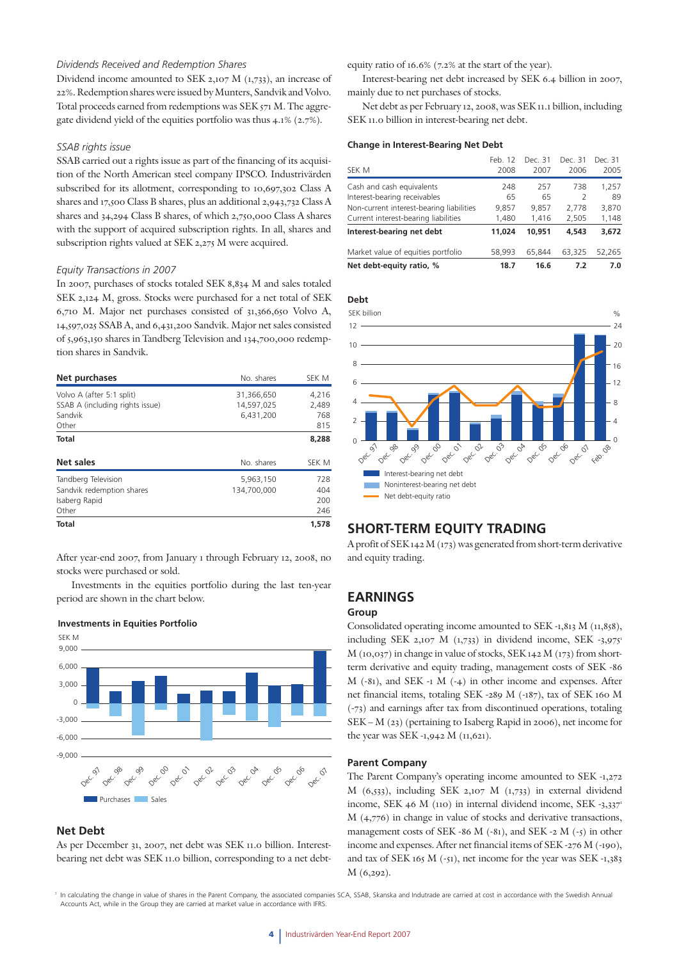#### *Dividends Received and Redemption Shares*

Dividend income amounted to SEK 2,107 M (1,733), an increase of 22%. Redemption shares were issued by Munters, Sandvik and Volvo. Total proceeds earned from redemptions was SEK 571 M. The aggregate dividend yield of the equities portfolio was thus 4.1% (2.7%).

#### *SSAB rights issue*

SSAB carried out a rights issue as part of the financing of its acquisition of the North American steel company IPSCO. Industrivärden subscribed for its allotment, corresponding to 10,697,302 Class A shares and 17,500 Class B shares, plus an additional 2,943,732 Class A shares and 34,294 Class B shares, of which 2,750,000 Class A shares with the support of acquired subscription rights. In all, shares and subscription rights valued at SEK 2,275 M were acquired.

#### *Equity Transactions in 2007*

In 2007, purchases of stocks totaled SEK 8,834 M and sales totaled SEK 2,124 M, gross. Stocks were purchased for a net total of SEK 6,710 M. Major net purchases consisted of 31,366,650 Volvo A, 14,597,025 SSAB A, and 6,431,200 Sandvik. Major net sales consisted of 5,963,150 shares in Tandberg Television and 134,700,000 redemption shares in Sandvik.

| Net purchases                                                                    | No. shares                            | SEK M                        |
|----------------------------------------------------------------------------------|---------------------------------------|------------------------------|
| Volvo A (after 5:1 split)<br>SSAB A (including rights issue)<br>Sandvik<br>Other | 31,366,650<br>14.597.025<br>6.431.200 | 4,216<br>2,489<br>768<br>815 |
| <b>Total</b>                                                                     |                                       | 8,288                        |
| Net sales                                                                        | No. shares                            | <b>SEK M</b>                 |
| Tandberg Television<br>Sandvik redemption shares<br>Isaberg Rapid<br>Other       | 5,963,150<br>134,700,000              | 728<br>404<br>200<br>246     |
| Total                                                                            |                                       | 1,578                        |

After year-end 2007, from January 1 through February 12, 2008, no stocks were purchased or sold.

Investments in the equities portfolio during the last ten-year period are shown in the chart below.



#### **Investments in Equities Portfolio**

## **Net Debt**

As per December 31, 2007, net debt was SEK 11.0 billion. Interestbearing net debt was SEK 11.0 billion, corresponding to a net debtequity ratio of 16.6% (7.2% at the start of the year).

Interest-bearing net debt increased by SEK 6.4 billion in 2007, mainly due to net purchases of stocks.

Net debt as per February 12, 2008, was SEK 11.1 billion, including SEK 11.0 billion in interest-bearing net debt.

#### **Change in Interest-Bearing Net Debt**

| Net debt-equity ratio, %                 | 18.7    | 16.6    | 7.2     | 7.0     |
|------------------------------------------|---------|---------|---------|---------|
| Market value of equities portfolio       | 58,993  | 65,844  | 63.325  | 52.265  |
| Interest-bearing net debt                | 11.024  | 10,951  | 4,543   | 3,672   |
| Current interest-bearing liabilities     | 1,480   | 1.416   | 2,505   | 1,148   |
| Non-current interest-bearing liabilities | 9,857   | 9,857   | 2.778   | 3,870   |
| Interest-bearing receivables             | 65      | 65      | 2       | 89      |
| Cash and cash equivalents                | 248     | 257     | 738     | 1,257   |
| SEK M                                    | 2008    | 2007    | 2006    | 2005    |
|                                          | Feb. 12 | Dec. 31 | Dec. 31 | Dec. 31 |



# **SHORT-TERM EQUITY TRADING**

A profit of SEK 142 M (173) was generated from short-term derivative and equity trading.

## **EARNINGS**

#### **Group**

Consolidated operating income amounted to SEK -1,813 M (11,858), including SEK 2,107 M  $(1,733)$  in dividend income, SEK -3,975<sup>1</sup> M (10,037) in change in value of stocks, SEK 142 M (173) from shortterm derivative and equity trading, management costs of SEK -86 M (-81), and SEK -1 M (-4) in other income and expenses. After net financial items, totaling SEK -289 M (-187), tax of SEK 160 M (-73) and earnings after tax from discontinued operations, totaling SEK – M (23) (pertaining to Isaberg Rapid in 2006), net income for the year was SEK -1,942 M (11,621).

#### **Parent Company**

The Parent Company's operating income amounted to SEK -1,272 M (6,533), including SEK 2,107 M (1,733) in external dividend income, SEK 46 M (110) in internal dividend income, SEK -3,337<sup>1</sup> M (4,776) in change in value of stocks and derivative transactions, management costs of SEK -86 M (-81), and SEK -2 M (-5) in other income and expenses. After net financial items of SEK -276 M (-190), and tax of SEK 165 M  $(-51)$ , net income for the year was SEK  $-1,383$ M (6,292).

<sup>1</sup> In calculating the change in value of shares in the Parent Company, the associated companies SCA, SSAB, Skanska and Indutrade are carried at cost in accordance with the Swedish Annual Accounts Act, while in the Group they are carried at market value in accordance with IFRS.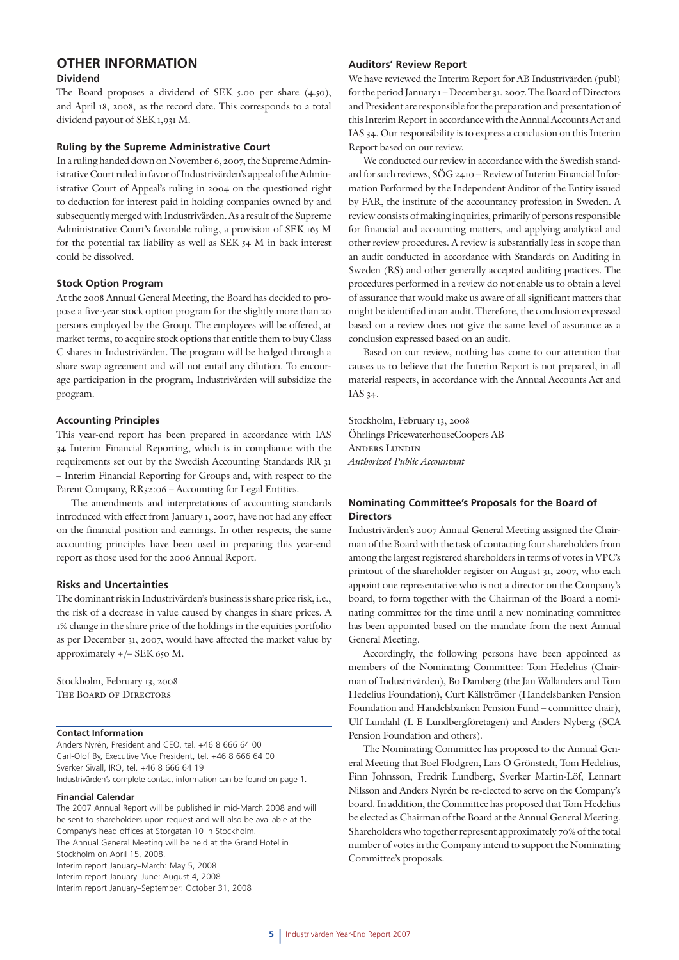# **OTHER INFORMATION**

## **Dividend**

The Board proposes a dividend of SEK 5.00 per share (4.50), and April 18, 2008, as the record date. This corresponds to a total dividend payout of SEK 1,931 M.

#### **Ruling by the Supreme Administrative Court**

In a ruling handed down on November 6, 2007, the Supreme Administrative Court ruled in favor of Industrivärden's appeal of the Administrative Court of Appeal's ruling in 2004 on the questioned right to deduction for interest paid in holding companies owned by and subsequently merged with Industrivärden. As a result of the Supreme Administrative Court's favorable ruling, a provision of SEK 165 M for the potential tax liability as well as SEK 54 M in back interest could be dissolved.

## **Stock Option Program**

At the 2008 Annual General Meeting, the Board has decided to propose a five-year stock option program for the slightly more than 20 persons employed by the Group. The employees will be offered, at market terms, to acquire stock options that entitle them to buy Class C shares in Industrivärden. The program will be hedged through a share swap agreement and will not entail any dilution. To encourage participation in the program, Industrivärden will subsidize the program.

## **Accounting Principles**

This year-end report has been prepared in accordance with IAS 34 Interim Financial Reporting, which is in compliance with the requirements set out by the Swedish Accounting Standards RR 31 – Interim Financial Reporting for Groups and, with respect to the Parent Company, RR32:06 – Accounting for Legal Entities.

The amendments and interpretations of accounting standards introduced with effect from January 1, 2007, have not had any effect on the financial position and earnings. In other respects, the same accounting principles have been used in preparing this year-end report as those used for the 2006 Annual Report.

## **Risks and Uncertainties**

The dominant risk in Industrivärden's business is share price risk, i.e., the risk of a decrease in value caused by changes in share prices. A 1% change in the share price of the holdings in the equities portfolio as per December 31, 2007, would have affected the market value by approximately +/– SEK 650 M.

Stockholm, February 13, 2008 The Board of Directors

## **Contact Information**

Anders Nyrén, President and CEO, tel. +46 8 666 64 00 Carl-Olof By, Executive Vice President, tel. +46 8 666 64 00 Sverker Sivall, IRO, tel. +46 8 666 64 19 Industrivärden's complete contact information can be found on page 1.

#### **Financial Calendar**

The 2007 Annual Report will be published in mid-March 2008 and will be sent to shareholders upon request and will also be available at the Company's head offices at Storgatan 10 in Stockholm. The Annual General Meeting will be held at the Grand Hotel in Stockholm on April 15, 2008. Interim report January–March: May 5, 2008 Interim report January–June: August 4, 2008 Interim report January–September: October 31, 2008

#### **Auditors' Review Report**

We have reviewed the Interim Report for AB Industrivärden (publ) for the period January 1 – December 31, 2007. The Board of Directors and President are responsible for the preparation and presentation of this Interim Report in accordance with the Annual Accounts Act and IAS 34. Our responsibility is to express a conclusion on this Interim Report based on our review.

We conducted our review in accordance with the Swedish standard for such reviews, SÖG 2410 – Review of Interim Financial Information Performed by the Independent Auditor of the Entity issued by FAR, the institute of the accountancy profession in Sweden. A review consists of making inquiries, primarily of persons responsible for financial and accounting matters, and applying analytical and other review procedures. A review is substantially less in scope than an audit conducted in accordance with Standards on Auditing in Sweden (RS) and other generally accepted auditing practices. The procedures performed in a review do not enable us to obtain a level of assurance that would make us aware of all significant matters that might be identified in an audit. Therefore, the conclusion expressed based on a review does not give the same level of assurance as a conclusion expressed based on an audit.

Based on our review, nothing has come to our attention that causes us to believe that the Interim Report is not prepared, in all material respects, in accordance with the Annual Accounts Act and IAS 34.

Stockholm, February 13, 2008 Öhrlings PricewaterhouseCoopers AB Anders Lundin *Authorized Public Accountant*

## **Nominating Committee's Proposals for the Board of Directors**

Industrivärden's 2007 Annual General Meeting assigned the Chairman of the Board with the task of contacting four shareholders from among the largest registered shareholders in terms of votes in VPC's printout of the shareholder register on August 31, 2007, who each appoint one representative who is not a director on the Company's board, to form together with the Chairman of the Board a nominating committee for the time until a new nominating committee has been appointed based on the mandate from the next Annual General Meeting.

Accordingly, the following persons have been appointed as members of the Nominating Committee: Tom Hedelius (Chairman of Industrivärden), Bo Damberg (the Jan Wallanders and Tom Hedelius Foundation), Curt Källströmer (Handelsbanken Pension Foundation and Handelsbanken Pension Fund – committee chair), Ulf Lundahl (L E Lundbergföretagen) and Anders Nyberg (SCA Pension Foundation and others).

The Nominating Committee has proposed to the Annual General Meeting that Boel Flodgren, Lars O Grönstedt, Tom Hedelius, Finn Johnsson, Fredrik Lundberg, Sverker Martin-Löf, Lennart Nilsson and Anders Nyrén be re-elected to serve on the Company's board. In addition, the Committee has proposed that Tom Hedelius be elected as Chairman of the Board at the Annual General Meeting. Shareholders who together represent approximately 70% of the total number of votes in the Company intend to support the Nominating Committee's proposals.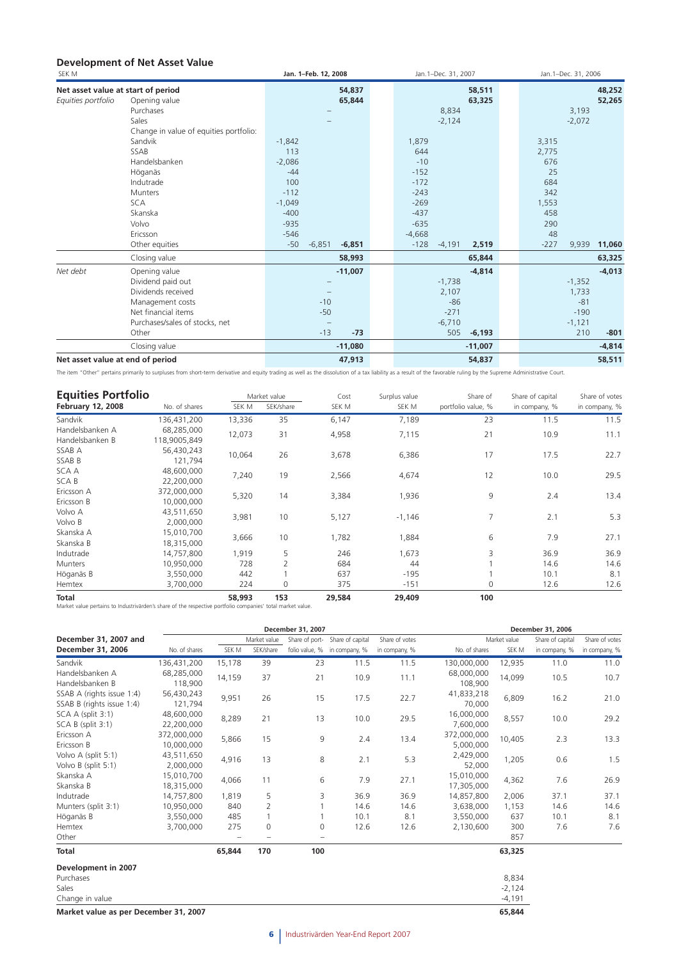## **Development of Net Asset Value**

| SEK M                              |                                        | Jan. 1-Feb. 12, 2008          | Jan. 1-Dec. 31, 2007 |           |        | Jan.1-Dec. 31, 2006 |          |
|------------------------------------|----------------------------------------|-------------------------------|----------------------|-----------|--------|---------------------|----------|
| Net asset value at start of period |                                        | 54,837                        |                      | 58,511    |        |                     | 48,252   |
| Equities portfolio                 | Opening value                          | 65,844                        |                      | 63,325    |        |                     | 52,265   |
|                                    | Purchases                              |                               | 8,834                |           |        | 3,193               |          |
|                                    | Sales                                  |                               | $-2,124$             |           |        | $-2,072$            |          |
|                                    | Change in value of equities portfolio: |                               |                      |           |        |                     |          |
|                                    | Sandvik                                | $-1,842$                      | 1,879                |           | 3,315  |                     |          |
|                                    | SSAB                                   | 113                           | 644                  |           | 2,775  |                     |          |
|                                    | Handelsbanken                          | $-2,086$                      | $-10$                |           | 676    |                     |          |
|                                    | Höganäs                                | $-44$                         | $-152$               |           | 25     |                     |          |
|                                    | Indutrade                              | 100                           | $-172$               |           | 684    |                     |          |
|                                    | <b>Munters</b>                         | $-112$                        | $-243$               |           | 342    |                     |          |
|                                    | <b>SCA</b>                             | $-1,049$                      | $-269$               |           | 1,553  |                     |          |
|                                    | Skanska                                | $-400$                        | $-437$               |           | 458    |                     |          |
|                                    | Volvo                                  | $-935$                        | $-635$               |           | 290    |                     |          |
|                                    | Ericsson                               | $-546$                        | $-4,668$             |           | 48     |                     |          |
|                                    | Other equities                         | $-50$<br>$-6,851$<br>$-6,851$ | $-128$<br>$-4,191$   | 2,519     | $-227$ | 9,939               | 11,060   |
|                                    | Closing value                          | 58,993                        |                      | 65,844    |        |                     | 63,325   |
| Net debt                           | Opening value                          | $-11,007$                     |                      | $-4.814$  |        |                     | $-4.013$ |
|                                    | Dividend paid out                      |                               | $-1,738$             |           |        | $-1,352$            |          |
|                                    | Dividends received                     |                               | 2,107                |           |        | 1,733               |          |
|                                    | Management costs                       | $-10$                         | $-86$                |           |        | $-81$               |          |
|                                    | Net financial items                    | $-50$                         | $-271$               |           |        | $-190$              |          |
|                                    | Purchases/sales of stocks, net         |                               | $-6,710$             |           |        | $-1,121$            |          |
|                                    | Other                                  | $-13$<br>$-73$                | 505                  | $-6,193$  |        | 210                 | $-801$   |
|                                    | Closing value                          | $-11,080$                     |                      | $-11,007$ |        |                     | $-4,814$ |
| Net asset value at end of period   |                                        | 47,913                        |                      | 54,837    |        |                     | 58,511   |

The item "Other" pertains primarily to surpluses from short-term derivative and equity trading as well as the dissolution of a tax liability as a result of the favorable ruling by the Supreme Administrative Court.

| <b>Equities Portfolio</b> |               |        | Market value | Cost  | Surplus value | Share of           | Share of capital | Share of votes |
|---------------------------|---------------|--------|--------------|-------|---------------|--------------------|------------------|----------------|
| <b>February 12, 2008</b>  | No. of shares | SEK M  | SEK/share    | SEK M | SEK M         | portfolio value, % | in company, %    | in company, %  |
| Sandvik                   | 136,431,200   | 13,336 | 35           | 6,147 | 7,189         | 23                 | 11.5             | 11.5           |
| Handelsbanken A           | 68,285,000    | 12,073 | 31           | 4,958 | 7,115         | 21                 | 10.9             | 11.1           |
| Handelsbanken B           | 118,9005,849  |        |              |       |               |                    |                  |                |
| SSAB A                    | 56,430,243    | 10,064 | 26           | 3,678 | 6,386         | 17                 | 17.5             | 22.7           |
| SSAB B                    | 121,794       |        |              |       |               |                    |                  |                |
| SCA A                     | 48,600,000    |        | 19           |       |               | 12                 |                  | 29.5           |
| SCA B                     | 22,200,000    | 7,240  |              | 2,566 | 4,674         |                    | 10.0             |                |
| Ericsson A                | 372,000,000   |        |              |       |               | 9                  |                  |                |
| Ericsson B                | 10,000,000    | 5,320  | 14           | 3,384 | 1,936         |                    | 2.4              | 13.4           |
| Volvo A                   | 43,511,650    |        | 10           | 5,127 |               | 7                  | 2.1              | 5.3            |
| Volvo B                   | 2,000,000     | 3,981  |              |       | $-1,146$      |                    |                  |                |
| Skanska A                 | 15,010,700    |        | 10           |       |               | 6                  | 7.9              | 27.1           |
| Skanska B                 | 18,315,000    | 3,666  |              | 1,782 | 1,884         |                    |                  |                |
| Indutrade                 | 14,757,800    | 1,919  | 5            | 246   | 1,673         | 3                  | 36.9             | 36.9           |
| <b>Munters</b>            | 10,950,000    | 728    | 2            | 684   | 44            |                    | 14.6             | 14.6           |
| Höganäs B                 | 3,550,000     | 442    |              | 637   | $-195$        |                    | 10.1             | 8.1            |
| Hemtex                    | 3,700,000     | 224    | 0            | 375   | $-151$        | 0                  | 12.6             | 12.6           |

**Total 58,993 153 29,584 29,409 100**  Market value pertains to Industrivärden's share of the respective portfolio companies' total market value.

|                           |               |        |                | December 31, 2007 |                                 |                |               |              | December 31, 2006 |                |  |
|---------------------------|---------------|--------|----------------|-------------------|---------------------------------|----------------|---------------|--------------|-------------------|----------------|--|
| December 31, 2007 and     |               |        | Market value   |                   | Share of port- Share of capital | Share of votes |               | Market value | Share of capital  | Share of votes |  |
| December 31, 2006         | No. of shares | SEK M  | SEK/share      |                   | folio value, % in company, %    | in company, %  | No. of shares | SEK M        | in company, %     | in company, %  |  |
| Sandvik                   | 136,431,200   | 15,178 | 39             | 23                | 11.5                            | 11.5           | 130,000,000   | 12,935       | 11.0              | 11.0           |  |
| Handelsbanken A           | 68,285,000    | 14,159 | 37             | 21                | 10.9                            | 11.1           | 68,000,000    | 14,099       | 10.5              | 10.7           |  |
| Handelsbanken B           | 118,900       |        |                |                   |                                 |                | 108,900       |              |                   |                |  |
| SSAB A (rights issue 1:4) | 56,430,243    | 9,951  | 26             | 15                | 17.5                            | 22.7           | 41,833,218    | 6,809        | 16.2              | 21.0           |  |
| SSAB B (rights issue 1:4) | 121,794       |        |                |                   |                                 |                | 70,000        |              |                   |                |  |
| SCA A (split 3:1)         | 48,600,000    | 8,289  | 21             | 13                | 10.0                            | 29.5           | 16,000,000    | 8,557        | 10.0              | 29.2           |  |
| SCA B (split 3:1)         | 22,200,000    |        |                |                   |                                 |                | 7,600,000     |              |                   |                |  |
| Ericsson A                | 372,000,000   | 5,866  | 15             | 9                 | 2.4                             | 13.4           | 372,000,000   | 10,405       | 2.3               | 13.3           |  |
| Ericsson B                | 10,000,000    |        |                | 5,000,000         |                                 |                |               |              |                   |                |  |
| Volvo A (split 5:1)       | 43,511,650    | 4,916  | 13             | 8                 | 2.1                             | 5.3            | 2,429,000     | 1,205        | 0.6               | 1.5            |  |
| Volvo B (split 5:1)       | 2,000,000     |        |                |                   |                                 |                |               | 52,000       |                   |                |  |
| Skanska A                 | 15,010,700    | 4,066  | 11             | 6                 | 7.9                             | 27.1           | 15,010,000    | 4,362        | 7.6               | 26.9           |  |
| Skanska B                 | 18,315,000    |        |                |                   |                                 |                | 17,305,000    |              |                   |                |  |
| Indutrade                 | 14,757,800    | 1,819  | 5              | 3                 | 36.9                            | 36.9           | 14,857,800    | 2,006        | 37.1              | 37.1           |  |
| Munters (split 3:1)       | 10,950,000    | 840    | $\overline{2}$ |                   | 14.6                            | 14.6           | 3,638,000     | 1,153        | 14.6              | 14.6           |  |
| Höganäs B                 | 3,550,000     | 485    |                |                   | 10.1                            | 8.1            | 3,550,000     | 637          | 10.1              | 8.1            |  |
| Hemtex                    | 3,700,000     | 275    | 0              | 0                 | 12.6                            | 12.6           | 2,130,600     | 300          | 7.6               | 7.6            |  |
| Other                     |               |        |                |                   |                                 |                |               | 857          |                   |                |  |
| <b>Total</b>              |               | 65,844 | 170            | 100               |                                 |                |               | 63,325       |                   |                |  |
| Development in 2007       |               |        |                |                   |                                 |                |               |              |                   |                |  |
| Purchases                 |               |        |                |                   |                                 |                |               | 8,834        |                   |                |  |
| Sales                     |               |        |                |                   |                                 |                |               | $-2,124$     |                   |                |  |
| Change in value           |               |        |                |                   |                                 |                |               | $-4,191$     |                   |                |  |

**Market value as per December 31, 2007 65,844**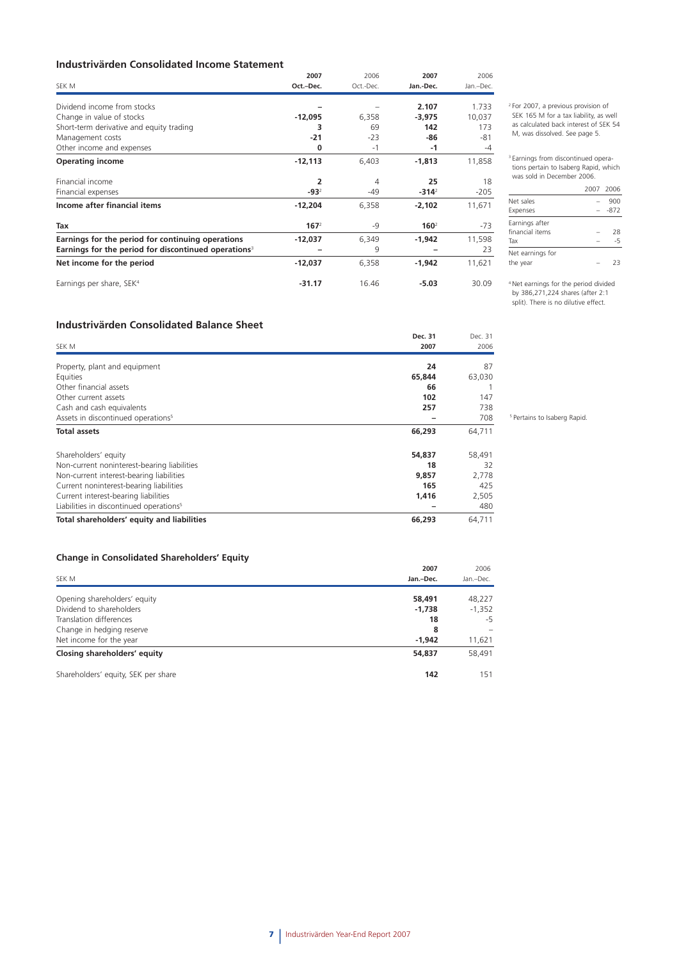## **Industrivärden Consolidated Income Statement**

|                                                                  | 2007             | 2006      | 2007             | 2006      |
|------------------------------------------------------------------|------------------|-----------|------------------|-----------|
| SEK M                                                            | Oct.-Dec.        | Oct.-Dec. | Jan.-Dec.        | Jan.-Dec. |
| Dividend income from stocks                                      |                  |           | 2.107            | 1.733     |
| Change in value of stocks                                        | $-12,095$        | 6,358     | $-3,975$         | 10,037    |
| Short-term derivative and equity trading                         | 3                | 69        | 142              | 173       |
| Management costs                                                 | $-21$            | $-23$     | -86              | $-81$     |
| Other income and expenses                                        | 0                | $-1$      | $-1$             | $-4$      |
| <b>Operating income</b>                                          | $-12,113$        | 6,403     | $-1,813$         | 11,858    |
| Financial income                                                 | 2                | 4         | 25               | 18        |
| Financial expenses                                               | $-932$           | -49       | $-314^2$         | $-205$    |
| Income after financial items                                     | $-12,204$        | 6,358     | $-2,102$         | 11,671    |
| Tax                                                              | 167 <sup>2</sup> | $-9$      | 160 <sup>2</sup> | -73       |
| Earnings for the period for continuing operations                | $-12,037$        | 6,349     | $-1,942$         | 11,598    |
| Earnings for the period for discontinued operations <sup>3</sup> |                  | 9         |                  | 23        |
| Net income for the period                                        | -12,037          | 6,358     | -1,942           | 11,621    |
| Earnings per share, SEK <sup>4</sup>                             | $-31.17$         | 16.46     | $-5.03$          | 30.09     |

2 For 2007, a previous provision of SEK 165 M for a tax liability, as well as calculated back interest of SEK 54 M, was dissolved. See page 5.

3 Earnings from discontinued operations pertain to Isaberg Rapid, which was sold in December 2006.

|                  | 2007 2006 |        |
|------------------|-----------|--------|
| Net sales        |           | 900    |
| Expenses         |           | $-872$ |
| Earnings after   |           |        |
| financial items  |           | 28     |
| Tax              |           | $-5$   |
| Net earnings for |           |        |
| the year         |           | フヌ     |

4 Net earnings for the period divided by 386,271,224 shares (after 2:1 split). There is no dilutive effect.

# **Industrivärden Consolidated Balance Sheet**

|                                                     | Dec. 31 | Dec. 31 |
|-----------------------------------------------------|---------|---------|
| SEK M                                               | 2007    | 2006    |
| Property, plant and equipment                       | 24      | 87      |
| Equities                                            | 65,844  | 63,030  |
| Other financial assets                              | 66      |         |
| Other current assets                                | 102     | 147     |
| Cash and cash equivalents                           | 257     | 738     |
| Assets in discontinued operations <sup>5</sup>      |         | 708     |
| <b>Total assets</b>                                 | 66,293  | 64,711  |
| Shareholders' equity                                | 54,837  | 58,491  |
| Non-current noninterest-bearing liabilities         | 18      | 32      |
| Non-current interest-bearing liabilities            | 9,857   | 2,778   |
| Current noninterest-bearing liabilities             | 165     | 425     |
| Current interest-bearing liabilities                | 1,416   | 2,505   |
| Liabilities in discontinued operations <sup>5</sup> |         | 480     |
| Total shareholders' equity and liabilities          | 66,293  | 64,711  |

#### **Change in Consolidated Shareholders' Equity**

|                                     | 2007      | 2006      |
|-------------------------------------|-----------|-----------|
| SEK M                               | Jan.-Dec. | Jan.-Dec. |
| Opening shareholders' equity        | 58,491    | 48,227    |
| Dividend to shareholders            | $-1,738$  | $-1,352$  |
| Translation differences             | 18        | -5        |
| Change in hedging reserve           | 8         | -         |
| Net income for the year             | $-1,942$  | 11,621    |
| Closing shareholders' equity        | 54,837    | 58,491    |
| Shareholders' equity, SEK per share | 142       | 151       |

5 Pertains to Isaberg Rapid.